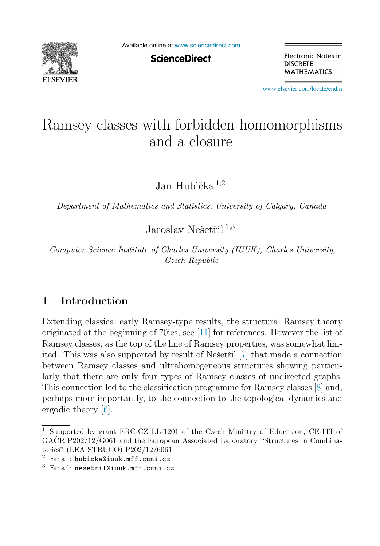

Available online at [www.sciencedirect.com](http://www.sciencedirect.com)

**ScienceDirect** 

Electronic Notes in **DISCRETE MATHEMATICS** 

[www.elsevier.com/locate/endm](http://www.elsevier.com/locate/endm)

# Ramsey classes with forbidden homomorphisms and a closure

Jan Hubička $^{1,2}$ 

Department of Mathematics and Statistics, University of Calgary, Canada

Jaroslav Nešetřil  $^{1,3}$ 

Computer Science Institute of Charles University (IUUK), Charles University, Czech Republic

## **1 Introduction**

Extending classical early Ramsey-type results, the structural Ramsey theory originated at the beginning of 70ies, see [\[11\]](#page-8-0) for references. However the list of Ramsey classes, as the top of the line of Ramsey properties, was somewhat limited. This was also supported by result of Ne $\check{\rm set}$ iil [\[7\]](#page-8-0) that made a connection between Ramsey classes and ultrahomogeneous structures showing particularly that there are only four types of Ramsey classes of undirected graphs. This connection led to the classification programme for Ramsey classes [\[8\]](#page-8-0) and, perhaps more importantly, to the connection to the topological dynamics and ergodic theory [\[6\]](#page-8-0).

<sup>1</sup> Supported by grant ERC-CZ LL-1201 of the Czech Ministry of Education, CE-ITI of GAČR P202/12/G061 and the European Associated Laboratory "Structures in Combinatorics" (LEA STRUCO) P202/12/6061.

<sup>2</sup> Email: hubicka@iuuk.mff.cuni.cz

<sup>3</sup> Email: nesetril@iuuk.mff.cuni.cz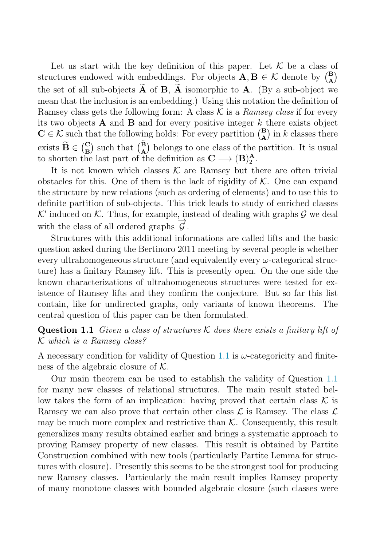Let us start with the key definition of this paper. Let  $K$  be a class of structures endowed with embeddings. For objects  $\mathbf{A}, \mathbf{B} \in \mathcal{K}$  denote by  $\begin{pmatrix} \mathbf{B} \\ \mathbf{A} \end{pmatrix}$ **B**) the set of all sub-objects  $\widetilde{A}$  of  $B$ ,  $\widetilde{A}$  isomorphic to  $A$ . (By a sub-object we mean that the inclusion is an embedding.) Using this notation the definition of Ramsey class gets the following form: A class  $\mathcal K$  is a *Ramsey class* if for every its two objects  $\bf{A}$  and  $\bf{B}$  and for every positive integer  $k$  there exists object  $\mathbf{C} \in \mathcal{K}$  such that the following holds: For every partition  $\begin{pmatrix} \mathbf{B} \\ \mathbf{A} \end{pmatrix}$  $\mathbf{A}^{\text{B}}$ ) in k classes there exists  $\widetilde{\mathbf{B}} \in \begin{pmatrix} \mathbf{C} \\ \mathbf{B} \end{pmatrix}$  $\mathbf{B}$  such that  $\left(\frac{\mathbf{B}}{\mathbf{A}}\right)$  belongs to one class of the partition. It is usual to shorten the last part of the definition as  $C \longrightarrow (B)_2^A$ .

It is not known which classes  $K$  are Ramsey but there are often trivial obstacles for this. One of them is the lack of rigidity of  $K$ . One can expand the structure by new relations (such as ordering of elements) and to use this to definite partition of sub-objects. This trick leads to study of enriched classes  $K'$  induced on  $K$ . Thus, for example, instead of dealing with graphs  $G$  we deal with the class of all ordered graphs  $\overrightarrow{G}$ .

Structures with this additional informations are called lifts and the basic question asked during the Bertinoro 2011 meeting by several people is whether every ultrahomogeneous structure (and equivalently every  $\omega$ -categorical structure) has a finitary Ramsey lift. This is presently open. On the one side the known characterizations of ultrahomogeneous structures were tested for existence of Ramsey lifts and they confirm the conjecture. But so far this list contain, like for undirected graphs, only variants of known theorems. The central question of this paper can be then formulated.

**Question 1.1** Given a class of structures  $\mathcal K$  does there exists a finitary lift of K which is a Ramsey class?

A necessary condition for validity of Question 1.1 is  $\omega$ -categoricity and finiteness of the algebraic closure of  $K$ .

Our main theorem can be used to establish the validity of Question 1.1 for many new classes of relational structures. The main result stated bellow takes the form of an implication: having proved that certain class  $\mathcal K$  is Ramsey we can also prove that certain other class  $\mathcal L$  is Ramsey. The class  $\mathcal L$ may be much more complex and restrictive than  $K$ . Consequently, this result generalizes many results obtained earlier and brings a systematic approach to proving Ramsey property of new classes. This result is obtained by Partite Construction combined with new tools (particularly Partite Lemma for structures with closure). Presently this seems to be the strongest tool for producing new Ramsey classes. Particularly the main result implies Ramsey property of many monotone classes with bounded algebraic closure (such classes were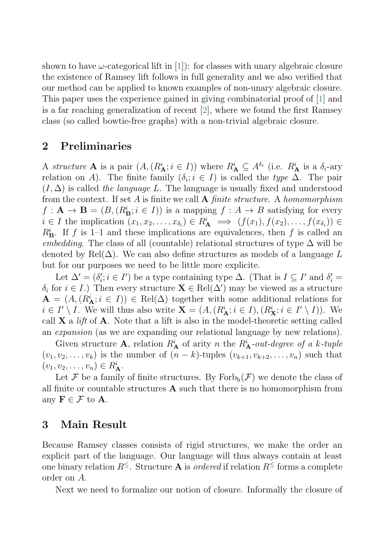shown to have  $\omega$ -categorical lift in [\[1\]](#page-7-0)): for classes with unary algebraic closure the existence of Ramsey lift follows in full generality and we also verified that our method can be applied to known examples of non-unary algebraic closure. This paper uses the experience gained in giving combinatorial proof of [\[1\]](#page-7-0) and is a far reaching generalization of recent  $[2]$ , where we found the first Ramsey class (so called bowtie-free graphs) with a non-trivial algebraic closure.

#### **2 Preliminaries**

A structure **A** is a pair  $(A, (R_A^i; i \in I))$  where  $R_A^i \subseteq A^{\delta_i}$  (i.e.  $R_A^i$  is a  $\delta_i$ -ary relation on A). The finite family  $(\delta_i; i \in I)$  is called the type  $\Delta$ . The pair  $(I, \Delta)$  is called the language L. The language is usually fixed and understood from the context. If set A is finite we call **A** finite structure. A homomorphism  $f: \mathbf{A} \to \mathbf{B} = (B, (R^i_{\mathbf{B}}; i \in I))$  is a mapping  $f: A \to B$  satisfying for every  $i \in I$  the implication  $(x_1, x_2, \ldots, x_{\delta_i}) \in R_{\mathbf{A}}^i \implies (f(x_1), f(x_2), \ldots, f(x_{\delta_i})) \in$  $R_{\mathbf{B}}^{i}$ . If f is 1–1 and these implications are equivalences, then f is called an embedding. The class of all (countable) relational structures of type  $\Delta$  will be denoted by Rel $(\Delta)$ . We can also define structures as models of a language L but for our purposes we need to be little more explicite.

Let  $\Delta' = (\delta_i'; i \in I')$  be a type containing type  $\Delta$ . (That is  $I \subseteq I'$  and  $\delta_i' =$  $\delta_i$  for  $i \in I$ .) Then every structure  $\mathbf{X} \in \text{Rel}(\Delta')$  may be viewed as a structure  $\mathbf{A} = (A, (R_{\mathbf{A}}^i; i \in I)) \in \text{Rel}(\Delta)$  together with some additional relations for *i* ∈ *I'* \ *I*. We will thus also write  $\mathbf{X} = (A, (R_{\mathbf{A}}^i; i \in I), (R_{\mathbf{X}}^i; i \in I' \setminus I))$ . We call  $X$  a *lift* of  $A$ . Note that a lift is also in the model-theoretic setting called an expansion (as we are expanding our relational language by new relations).

Given structure **A**, relation  $R_{\mathbf{A}}^i$  of arity n the  $R_{\mathbf{A}}^i$ -out-degree of a k-tuple  $(v_1, v_2, \ldots, v_k)$  is the number of  $(n - k)$ -tuples  $(v_{k+1}, v_{k+2}, \ldots, v_n)$  such that  $(v_1, v_2, \ldots, v_n) \in R_{\mathbf{A}}^i$ .

Let F be a family of finite structures. By  $\text{Forb}_{h}(\mathcal{F})$  we denote the class of all finite or countable structures **A** such that there is no homomorphism from any  $\mathbf{F} \in \mathcal{F}$  to **A**.

## **3 Main Result**

Because Ramsey classes consists of rigid structures, we make the order an explicit part of the language. Our language will thus always contain at least one binary relation  $R^{\leq}$ . Structure **A** is *ordered* if relation  $R^{\leq}$  forms a complete order on A.

Next we need to formalize our notion of closure. Informally the closure of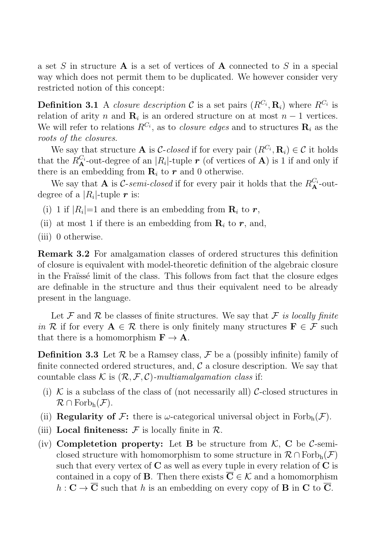a set S in structure **A** is a set of vertices of **A** connected to S in a special way which does not permit them to be duplicated. We however consider very restricted notion of this concept:

**Definition 3.1** A closure description C is a set pairs  $(R^{C_i}, \mathbf{R}_i)$  where  $R^{C_i}$  is relation of arity n and  $\mathbf{R}_i$  is an ordered structure on at most  $n-1$  vertices. We will refer to relations  $R^{C_i}$ , as to *closure edges* and to structures  $\mathbf{R}_i$  as the roots of the closures.

We say that structure **A** is *C-closed* if for every pair  $(R^{C_i}, \mathbf{R}_i) \in \mathcal{C}$  it holds that the  $R_{\mathbf{A}}^{C_i}$ -out-degree of an  $|R_i|$ -tuple **r** (of vertices of **A**) is 1 if and only if there is an embedding from  $\mathbf{R}_i$  to  $\mathbf{r}$  and 0 otherwise.

We say that **A** is C-semi-closed if for every pair it holds that the  $R_{\mathbf{A}}^{C_i}$ -outdegree of a  $|R_i|$ -tuple r is:

- (i) 1 if  $|R_i|=1$  and there is an embedding from  $\mathbf{R}_i$  to **r**,
- (ii) at most 1 if there is an embedding from  $\mathbf{R}_i$  to  $\mathbf{r}$ , and,
- (iii) 0 otherwise.

**Remark 3.2** For amalgamation classes of ordered structures this definition of closure is equivalent with model-theoretic definition of the algebraic closure in the Fraüssé limit of the class. This follows from fact that the closure edges are definable in the structure and thus their equivalent need to be already present in the language.

Let F and R be classes of finite structures. We say that F is locally finite in R if for every  $A \in \mathcal{R}$  there is only finitely many structures  $\mathbf{F} \in \mathcal{F}$  such that there is a homomorphism  $\mathbf{F} \to \mathbf{A}$ .

**Definition 3.3** Let  $\mathcal{R}$  be a Ramsey class,  $\mathcal{F}$  be a (possibly infinite) family of finite connected ordered structures, and,  $\mathcal C$  a closure description. We say that countable class K is  $(\mathcal{R}, \mathcal{F}, \mathcal{C})$ -multiamalgamation class if:

- (i) K is a subclass of the class of (not necessarily all) C-closed structures in  $\mathcal{R} \cap \text{Forb}_{h}(\mathcal{F}).$
- (ii) **Regularity of F:** there is  $\omega$ -categorical universal object in Forb<sub>h</sub> $(\mathcal{F})$ .
- (iii) **Local finiteness:**  $\mathcal F$  is locally finite in  $\mathcal R$ .
- (iv) **Completetion property:** Let **B** be structure from  $K$ , **C** be C-semiclosed structure with homomorphism to some structure in  $\mathcal{R} \cap \text{Forb}_{h}(\mathcal{F})$ such that every vertex of **C** as well as every tuple in every relation of **C** is contained in a copy of **B**. Then there exists  $C \in \mathcal{K}$  and a homomorphism  $h: \mathbf{C} \to \overline{\mathbf{C}}$  such that h is an embedding on every copy of **B** in **C** to  $\overline{\mathbf{C}}$ .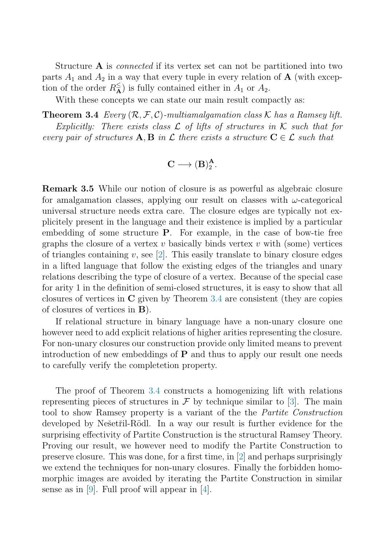<span id="page-4-0"></span>Structure **A** is connected if its vertex set can not be partitioned into two parts  $A_1$  and  $A_2$  in a way that every tuple in every relation of **A** (with exception of the order  $R_{\mathbf{A}}^{\leq}$  is fully contained either in  $A_1$  or  $A_2$ .

With these concepts we can state our main result compactly as:

**Theorem 3.4** Every  $(R, \mathcal{F}, \mathcal{C})$ -multiamalgamation class K has a Ramsey lift. Explicitly: There exists class  $\mathcal L$  of lifts of structures in  $\mathcal K$  such that for every pair of structures  $\mathbf{A}, \mathbf{B}$  in  $\mathcal{L}$  there exists a structure  $\mathbf{C} \in \mathcal{L}$  such that

$$
\mathbf{C}\longrightarrow (\mathbf{B})_2^\mathbf{A}.
$$

**Remark 3.5** While our notion of closure is as powerful as algebraic closure for amalgamation classes, applying our result on classes with  $\omega$ -categorical universal structure needs extra care. The closure edges are typically not explicitely present in the language and their existence is implied by a particular embedding of some structure **P**. For example, in the case of bow-tie free graphs the closure of a vertex v basically binds vertex v with (some) vertices of triangles containing  $v$ , see [\[2\]](#page-7-0). This easily translate to binary closure edges in a lifted language that follow the existing edges of the triangles and unary relations describing the type of closure of a vertex. Because of the special case for arity 1 in the definition of semi-closed structures, it is easy to show that all closures of vertices in **C** given by Theorem 3.4 are consistent (they are copies of closures of vertices in **B**).

If relational structure in binary language have a non-unary closure one however need to add explicit relations of higher arities representing the closure. For non-unary closures our construction provide only limited means to prevent introduction of new embeddings of **P** and thus to apply our result one needs to carefully verify the completetion property.

The proof of Theorem 3.4 constructs a homogenizing lift with relations representing pieces of structures in  $\mathcal F$  by technique similar to [\[3\]](#page-7-0). The main tool to show Ramsey property is a variant of the the Partite Construction developed by Nešetřil-Rödl. In a way our result is further evidence for the surprising effectivity of Partite Construction is the structural Ramsey Theory. Proving our result, we however need to modify the Partite Construction to preserve closure. This was done, for a first time, in [\[2\]](#page-7-0) and perhaps surprisingly we extend the techniques for non-unary closures. Finally the forbidden homomorphic images are avoided by iterating the Partite Construction in similar sense as in [\[9\]](#page-8-0). Full proof will appear in [\[4\]](#page-8-0).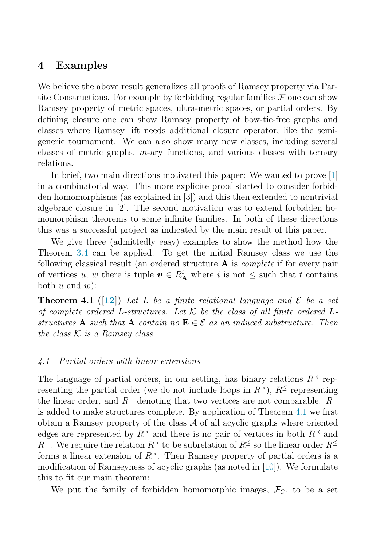## <span id="page-5-0"></span>**4 Examples**

We believe the above result generalizes all proofs of Ramsey property via Partite Constructions. For example by forbidding regular families  $\mathcal F$  one can show Ramsey property of metric spaces, ultra-metric spaces, or partial orders. By defining closure one can show Ramsey property of bow-tie-free graphs and classes where Ramsey lift needs additional closure operator, like the semigeneric tournament. We can also show many new classes, including several classes of metric graphs, m-ary functions, and various classes with ternary relations.

In brief, two main directions motivated this paper: We wanted to prove [\[1\]](#page-7-0) in a combinatorial way. This more explicite proof started to consider forbidden homomorphisms (as explained in [3]) and this then extended to nontrivial algebraic closure in [2]. The second motivation was to extend forbidden homomorphism theorems to some infinite families. In both of these directions this was a successful project as indicated by the main result of this paper.

We give three (admittedly easy) examples to show the method how the Theorem [3.4](#page-4-0) can be applied. To get the initial Ramsey class we use the following classical result (an ordered structure **A** is complete if for every pair of vertices u, w there is tuple  $v \in R_A^i$  where i is not  $\leq$  such that t contains both  $u$  and  $w$ :

**Theorem 4.1** ([\[12\]](#page-8-0)) Let L be a finite relational language and  $\mathcal{E}$  be a set of complete ordered L-structures. Let  $K$  be the class of all finite ordered Lstructures **A** such that **A** contain no  $\mathbf{E} \in \mathcal{E}$  as an induced substructure. Then the class  $K$  is a Ramsey class.

#### 4.1 Partial orders with linear extensions

The language of partial orders, in our setting, has binary relations  $R^{\prec}$  representing the partial order (we do not include loops in  $R^{\prec}$ ),  $R^{\leq}$  representing the linear order, and  $R^{\perp}$  denoting that two vertices are not comparable.  $R^{\perp}$ is added to make structures complete. By application of Theorem 4.1 we first obtain a Ramsey property of the class  $A$  of all acyclic graphs where oriented edges are represented by  $R^{\prec}$  and there is no pair of vertices in both  $R^{\prec}$  and  $R^{\perp}$ . We require the relation  $R^{\prec}$  to be subrelation of  $R^{\leq}$  so the linear order  $R^{\leq}$ forms a linear extension of  $R^{\prec}$ . Then Ramsey property of partial orders is a modification of Ramseyness of acyclic graphs (as noted in  $[10]$ ). We formulate this to fit our main theorem:

We put the family of forbidden homomorphic images,  $\mathcal{F}_C$ , to be a set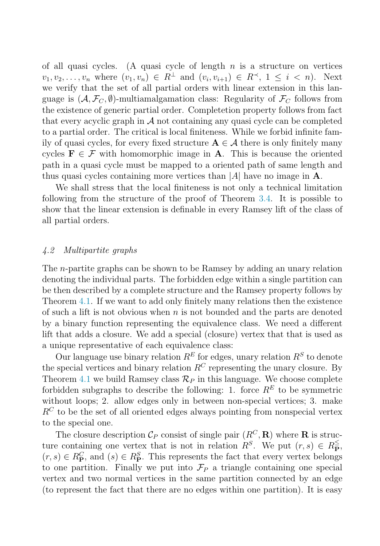of all quasi cycles. (A quasi cycle of length  $n$  is a structure on vertices  $v_1, v_2,...,v_n$  where  $(v_1, v_n) \in R^{\perp}$  and  $(v_i, v_{i+1}) \in R^{\prec}$ ,  $1 \leq i \leq n$ ). Next we verify that the set of all partial orders with linear extension in this language is  $(\mathcal{A}, \mathcal{F}_C, \emptyset)$ -multiamalgamation class: Regularity of  $\mathcal{F}_C$  follows from the existence of generic partial order. Completetion property follows from fact that every acyclic graph in  $\mathcal A$  not containing any quasi cycle can be completed to a partial order. The critical is local finiteness. While we forbid infinite family of quasi cycles, for every fixed structure  $A \in \mathcal{A}$  there is only finitely many cycles  $\mathbf{F} \in \mathcal{F}$  with homomorphic image in **A**. This is because the oriented path in a quasi cycle must be mapped to a oriented path of same length and thus quasi cycles containing more vertices than  $|A|$  have no image in  $\mathbf{A}$ .

We shall stress that the local finiteness is not only a technical limitation following from the structure of the proof of Theorem [3.4.](#page-4-0) It is possible to show that the linear extension is definable in every Ramsey lift of the class of all partial orders.

#### 4.2 Multipartite graphs

The n-partite graphs can be shown to be Ramsey by adding an unary relation denoting the individual parts. The forbidden edge within a single partition can be then described by a complete structure and the Ramsey property follows by Theorem [4.1.](#page-5-0) If we want to add only finitely many relations then the existence of such a lift is not obvious when  $n$  is not bounded and the parts are denoted by a binary function representing the equivalence class. We need a different lift that adds a closure. We add a special (closure) vertex that that is used as a unique representative of each equivalence class:

Our language use binary relation  $R^E$  for edges, unary relation  $R^S$  to denote the special vertices and binary relation  $R^C$  representing the unary closure. By Theorem [4.1](#page-5-0) we build Ramsey class  $\mathcal{R}_P$  in this language. We choose complete forbidden subgraphs to describe the following: 1. force  $R<sup>E</sup>$  to be symmetric without loops; 2. allow edges only in between non-special vertices; 3. make  $R^C$  to be the set of all oriented edges always pointing from nonspecial vertex to the special one.

The closure description  $\mathcal{C}_P$  consist of single pair  $(R^C, \mathbf{R})$  where **R** is structure containing one vertex that is not in relation  $R^S$ . We put  $(r, s) \in R^{\leq}_{\mathbf{P}},$  $(r, s) \in R_{\mathbf{P}}^C$ , and  $(s) \in R_{\mathbf{P}}^S$ . This represents the fact that every vertex belongs to one partition. Finally we put into  $\mathcal{F}_P$  a triangle containing one special vertex and two normal vertices in the same partition connected by an edge (to represent the fact that there are no edges within one partition). It is easy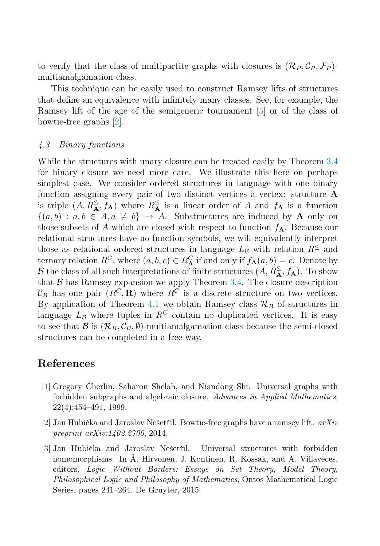<span id="page-7-0"></span>to verify that the class of multipartite graphs with closures is  $(\mathcal{R}_P, \mathcal{C}_P, \mathcal{F}_P)$ multiamalgamation class.

This technique can be easily used to construct Ramsey lifts of structures that define an equivalence with infinitely many classes. See, for example, the Ramsey lift of the age of the semigeneric tournament [\[5\]](#page-8-0) or of the class of bowtie-free graphs [2].

#### 4.3 Binary functions

While the structures with unary closure can be treated easily by Theorem [3.4](#page-4-0) for binary closure we need more care. We illustrate this here on perhaps simplest case. We consider ordered structures in language with one binary function assigning every pair of two distinct vertices a vertex: structure **A** is triple  $(A, R_{\bf A}^{\leq}, f_{\bf A})$  where  $R_{\bf A}^{\leq}$  is a linear order of A and  $f_{\bf A}$  is a function  $\{(a, b) : a, b \in A, a \neq b\} \rightarrow A$ . Substructures are induced by **A** only on those subsets of A which are closed with respect to function  $f_{\mathbf{A}}$ . Because our relational structures have no function symbols, we will equivalently interpret those as relational ordered structures in language  $L_B$  with relation  $R^{\le}$  and ternary relation  $R^C$ , where  $(a, b, c) \in R^C$  if and only if  $f_{\mathbf{A}}(a, b) = c$ . Denote by B the class of all such interpretations of finite structures  $(A, R_{\bf A}^{\leq}, f_{\bf A})$ . To show that  $\beta$  has Ramsey expansion we apply Theorem [3.4.](#page-4-0) The closure description  $\mathcal{C}_B$  has one pair  $(R^C, \mathbf{R})$  where  $R^C$  is a discrete structure on two vertices. By application of Theorem [4.1](#page-5-0) we obtain Ramsey class  $\mathcal{R}_B$  of structures in language  $L_B$  where tuples in  $R^C$  contain no duplicated vertices. It is easy to see that  $\mathcal{B}$  is  $(\mathcal{R}_B, \mathcal{C}_B, \emptyset)$ -multiamalgamation class because the semi-closed structures can be completed in a free way.

## **References**

- [1] Gregory Cherlin, Saharon Shelah, and Niandong Shi. Universal graphs with forbidden subgraphs and algebraic closure. Advances in Applied Mathematics, 22(4):454–491, 1999.
- [2] Jan Hubička and Jaroslav Nešetřil. Bowtie-free graphs have a ramsey lift.  $arXiv$ preprint arXiv:1402.2700, 2014.
- [3] Jan Hubička and Jaroslav Nešetřil. Universal structures with forbidden homomorphisms. In Å. Hirvonen, J. Kontinen, R. Kossak, and A. Villaveces, editors, Logic Without Borders: Essays on Set Theory, Model Theory, Philosophical Logic and Philosophy of Mathematics, Ontos Mathematical Logic Series, pages 241–264. De Gruyter, 2015.